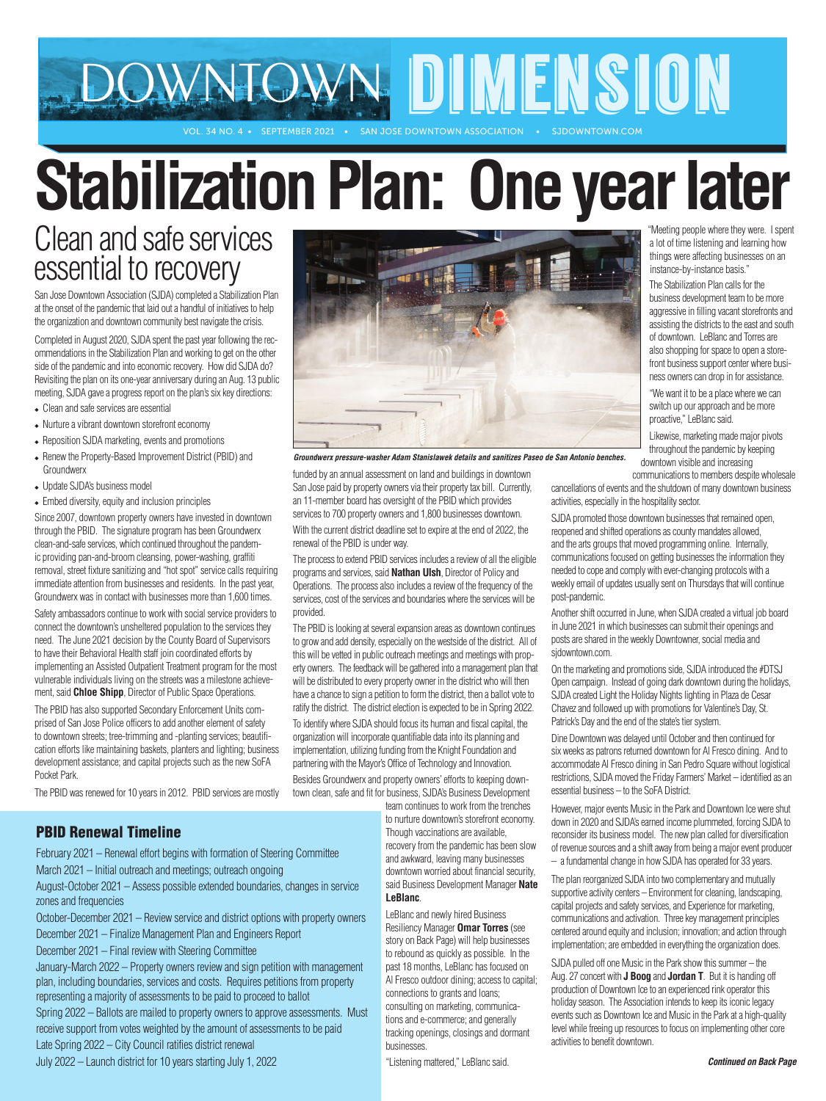# DOWNTOWN DIMENSION

VOL. 34 NO. 4 • SEPTEMBER 2021 • SAN JOSE DOWNTOWN ASSOCIATION

# **Stabilization Plan: One year later**

# Clean and safe services essential to recovery

San Jose Downtown Association (SJDA) completed a Stabilization Plan at the onset of the pandemic that laid out a handful of initiatives to help the organization and downtown community best navigate the crisis.

Completed in August 2020, SJDA spent the past year following the recommendations in the Stabilization Plan and working to get on the other side of the pandemic and into economic recovery. How did SJDA do? Revisiting the plan on its one-year anniversary during an Aug. 13 public meeting, SJDA gave a progress report on the plan's six key directions:

- $\triangle$  Clean and safe services are essential
- $\bullet$  Nurture a vibrant downtown storefront economy
- $\bullet$  Reposition SJDA marketing, events and promotions
- Renew the Property-Based Improvement District (PBID) and **Groundwerx**
- Update SJDA's business model
- $\triangle$  Embed diversity, equity and inclusion principles

Since 2007, downtown property owners have invested in downtown through the PBID. The signature program has been Groundwerx clean-and-safe services, which continued throughout the pandemic providing pan-and-broom cleansing, power-washing, graffiti removal, street fixture sanitizing and "hot spot" service calls requiring immediate attention from businesses and residents. In the past year, Groundwerx was in contact with businesses more than 1,600 times.

Safety ambassadors continue to work with social service providers to connect the downtown's unsheltered population to the services they need. The June 2021 decision by the County Board of Supervisors to have their Behavioral Health staff join coordinated efforts by implementing an Assisted Outpatient Treatment program for the most vulnerable individuals living on the streets was a milestone achievement, said **Chloe Shipp**, Director of Public Space Operations.

The PBID has also supported Secondary Enforcement Units comprised of San Jose Police officers to add another element of safety to downtown streets; tree-trimming and -planting services; beautification efforts like maintaining baskets, planters and lighting; business development assistance; and capital projects such as the new SoFA Pocket Park.

The PBID was renewed for 10 years in 2012. PBID services are mostly

### PBID Renewal Timeline

February 2021 – Renewal effort begins with formation of Steering Committee March 2021 – Initial outreach and meetings; outreach ongoing

August-October 2021 – Assess possible extended boundaries, changes in service zones and frequencies

October-December 2021 – Review service and district options with property owners December 2021 – Finalize Management Plan and Engineers Report

December 2021 – Final review with Steering Committee

January-March 2022 – Property owners review and sign petition with management plan, including boundaries, services and costs. Requires petitions from property representing a majority of assessments to be paid to proceed to ballot

Spring 2022 – Ballots are mailed to property owners to approve assessments. Must receive support from votes weighted by the amount of assessments to be paid Late Spring 2022 – City Council ratifies district renewal

July 2022 – Launch district for 10 years starting July 1, 2022



*Groundwerx pressure-washer Adam Stanislawek details and sanitizes Paseo de San Antonio benches.* 

funded by an annual assessment on land and buildings in downtown San Jose paid by property owners via their property tax bill. Currently, an 11-member board has oversight of the PBID which provides services to 700 property owners and 1,800 businesses downtown. With the current district deadline set to expire at the end of 2022, the

renewal of the PBID is under way.

The process to extend PBID services includes a review of all the eligible programs and services, said **Nathan Ulsh**, Director of Policy and Operations. The process also includes a review of the frequency of the services, cost of the services and boundaries where the services will be provided.

The PBID is looking at several expansion areas as downtown continues to grow and add density, especially on the westside of the district. All of this will be vetted in public outreach meetings and meetings with property owners. The feedback will be gathered into a management plan that will be distributed to every property owner in the district who will then have a chance to sign a petition to form the district, then a ballot vote to ratify the district. The district election is expected to be in Spring 2022.

To identify where SJDA should focus its human and fiscal capital, the organization will incorporate quantifiable data into its planning and implementation, utilizing funding from the Knight Foundation and partnering with the Mayor's Office of Technology and Innovation.

Besides Groundwerx and property owners' efforts to keeping downtown clean, safe and fit for business, SJDA's Business Development

team continues to work from the trenches to nurture downtown's storefront economy. Though vaccinations are available, recovery from the pandemic has been slow and awkward, leaving many businesses downtown worried about financial security, said Business Development Manager **Nate LeBlanc**.

LeBlanc and newly hired Business Resiliency Manager **Omar Torres** (see story on Back Page) will help businesses to rebound as quickly as possible. In the past 18 months, LeBlanc has focused on Al Fresco outdoor dining; access to capital; connections to grants and loans; consulting on marketing, communications and e-commerce; and generally tracking openings, closings and dormant businesses.

"Listening mattered," LeBlanc said.

 "Meeting people where they were. I spent a lot of time listening and learning how things were affecting businesses on an instance-by-instance basis."

 The Stabilization Plan calls for the business development team to be more aggressive in filling vacant storefronts and assisting the districts to the east and south of downtown. LeBlanc and Torres are also shopping for space to open a store front business support center where busi ness owners can drop in for assistance.

 "We want it to be a place where we can switch up our approach and be more proactive," LeBlanc said.

 Likewise, marketing made major pivots throughout the pandemic by keeping downtown visible and increasing

communications to members despite wholesale cancellations of events and the shutdown of many downtown business activities, especially in the hospitality sector.

SJDA promoted those downtown businesses that remained open, reopened and shifted operations as county mandates allowed, and the arts groups that moved programming online. Internally, communications focused on getting businesses the information they needed to cope and comply with ever-changing protocols with a weekly email of updates usually sent on Thursdays that will continue post-pandemic.

Another shift occurred in June, when SJDA created a virtual job board in June 2021 in which businesses can submit their openings and posts are shared in the weekly Downtowner, social media and sjdowntown.com.

On the marketing and promotions side, SJDA introduced the #DTSJ Open campaign. Instead of going dark downtown during the holidays, SJDA created Light the Holiday Nights lighting in Plaza de Cesar Chavez and followed up with promotions for Valentine's Day, St. Patrick's Day and the end of the state's tier system.

Dine Downtown was delayed until October and then continued for six weeks as patrons returned downtown for Al Fresco dining. And to accommodate Al Fresco dining in San Pedro Square without logistical restrictions, SJDA moved the Friday Farmers' Market – identified as an essential business – to the SoFA District.

However, major events Music in the Park and Downtown Ice were shut down in 2020 and SJDA's earned income plummeted, forcing SJDA to reconsider its business model. The new plan called for diversification of revenue sources and a shift away from being a major event producer – a fundamental change in how SJDA has operated for 33 years.

The plan reorganized SJDA into two complementary and mutually supportive activity centers – Environment for cleaning, landscaping, capital projects and safety services, and Experience for marketing, communications and activation. Three key management principles centered around equity and inclusion; innovation; and action through implementation; are embedded in everything the organization does.

SJDA pulled off one Music in the Park show this summer – the Aug. 27 concert with **J Boog** and **Jordan T**. But it is handing off production of Downtown Ice to an experienced rink operator this holiday season. The Association intends to keep its iconic legacy events such as Downtown Ice and Music in the Park at a high-quality level while freeing up resources to focus on implementing other core activities to benefit downtown.